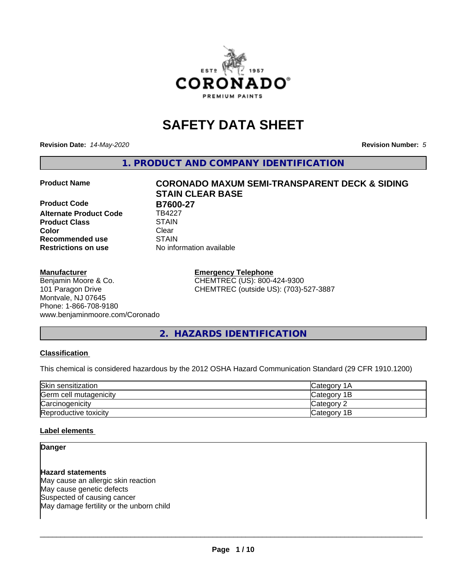

# **SAFETY DATA SHEET**

**Revision Date:** *14-May-2020* **Revision Number:** *5*

**1. PRODUCT AND COMPANY IDENTIFICATION**

**Product Code B7600-27**<br>Alternate Product Code TB4227 **Alternate Product Code Product Class STAIN STAIN**<br> **Color** Clear **Color** Clear Clear **Recommended use STAIN Restrictions on use** No information available

# **Product Name CORONADO MAXUM SEMI-TRANSPARENT DECK & SIDING STAIN CLEAR BASE**

#### **Manufacturer**

Benjamin Moore & Co. 101 Paragon Drive Montvale, NJ 07645 Phone: 1-866-708-9180 www.benjaminmoore.com/Coronado

# **Emergency Telephone** CHEMTREC (US): 800-424-9300

CHEMTREC (outside US): (703)-527-3887

# **2. HAZARDS IDENTIFICATION**

#### **Classification**

This chemical is considered hazardous by the 2012 OSHA Hazard Communication Standard (29 CFR 1910.1200)

| Skin sensitization     | lCategorv 1A       |
|------------------------|--------------------|
| Germ cell mutagenicity | <b>Category 1B</b> |
| Carcinogenicity        | Category 2         |
| Reproductive toxicity  | lCategorv 1B       |

#### **Label elements**

### **Danger**

**Hazard statements** May cause an allergic skin reaction May cause genetic defects Suspected of causing cancer May damage fertility or the unborn child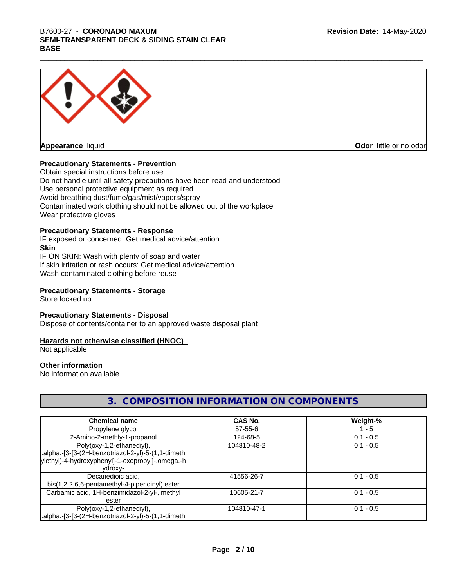

**Odor** little or no odor

#### **Precautionary Statements - Prevention**

Obtain special instructions before use Do not handle until all safety precautions have been read and understood Use personal protective equipment as required Avoid breathing dust/fume/gas/mist/vapors/spray Contaminated work clothing should not be allowed out of the workplace Wear protective gloves

#### **Precautionary Statements - Response**

IF exposed or concerned: Get medical advice/attention **Skin** IF ON SKIN: Wash with plenty of soap and water

If skin irritation or rash occurs: Get medical advice/attention Wash contaminated clothing before reuse

#### **Precautionary Statements - Storage**

Store locked up

#### **Precautionary Statements - Disposal**

Dispose of contents/container to an approved waste disposal plant

#### **Hazards not otherwise classified (HNOC)**

Not applicable

# **Other information**

No information available

# **3. COMPOSITION INFORMATION ON COMPONENTS**

| <b>Chemical name</b>                                | CAS No.       | Weight-%    |
|-----------------------------------------------------|---------------|-------------|
| Propylene glycol                                    | $57 - 55 - 6$ | $1 - 5$     |
| 2-Amino-2-methly-1-propanol                         | 124-68-5      | $0.1 - 0.5$ |
| Poly(oxy-1,2-ethanediyl),                           | 104810-48-2   | $0.1 - 0.5$ |
| .alpha.-[3-[3-(2H-benzotriazol-2-yl)-5-(1,1-dimeth. |               |             |
| ylethyl)-4-hydroxyphenyl]-1-oxopropyl]-.omega.-h    |               |             |
| vdroxv-                                             |               |             |
| Decanedioic acid,                                   | 41556-26-7    | $0.1 - 0.5$ |
| bis(1,2,2,6,6-pentamethyl-4-piperidinyl) ester      |               |             |
| Carbamic acid, 1H-benzimidazol-2-yl-, methyl        | 10605-21-7    | $0.1 - 0.5$ |
| ester                                               |               |             |
| Poly(oxy-1,2-ethanediyl),                           | 104810-47-1   | $0.1 - 0.5$ |
| alpha.-[3-[3-(2H-benzotriazol-2-yl)-5-(1,1-dimeth.  |               |             |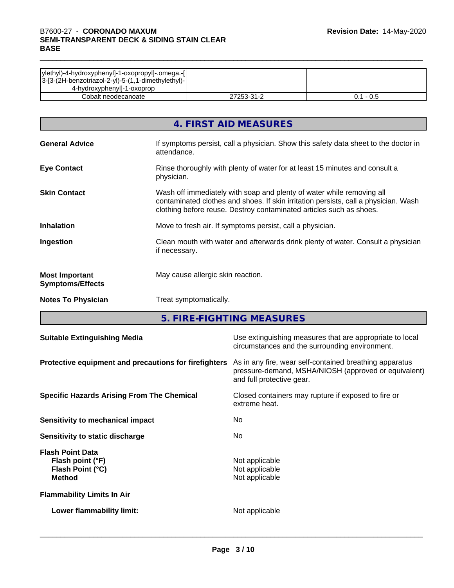| ylethyl)-4-hydroxyphenyl]-1-oxopropyl]-.omega.-[ <br> 3-[3-(2H-benzotriazol-2-yl)-5-(1,1-dimethylethyl)- |            |             |
|----------------------------------------------------------------------------------------------------------|------------|-------------|
| 4-hydroxyphenyl]-1-oxoprop                                                                               |            |             |
| Cobalt neodecanoate                                                                                      | 27253-31-2 | $0.1 - 0.5$ |

| <b>General Advice</b><br>If symptoms persist, call a physician. Show this safety data sheet to the doctor in<br>attendance.                                                                                                                                |
|------------------------------------------------------------------------------------------------------------------------------------------------------------------------------------------------------------------------------------------------------------|
| Rinse thoroughly with plenty of water for at least 15 minutes and consult a<br><b>Eye Contact</b><br>physician.                                                                                                                                            |
| Wash off immediately with soap and plenty of water while removing all<br><b>Skin Contact</b><br>contaminated clothes and shoes. If skin irritation persists, call a physician. Wash<br>clothing before reuse. Destroy contaminated articles such as shoes. |
| Move to fresh air. If symptoms persist, call a physician.<br><b>Inhalation</b>                                                                                                                                                                             |
| Clean mouth with water and afterwards drink plenty of water. Consult a physician<br>Ingestion<br>if necessary.                                                                                                                                             |
| May cause allergic skin reaction.<br><b>Most Important</b><br><b>Symptoms/Effects</b>                                                                                                                                                                      |
| <b>Notes To Physician</b><br>Treat symptomatically.                                                                                                                                                                                                        |

**5. FIRE-FIGHTING MEASURES**

| <b>Suitable Extinguishing Media</b>                                              | Use extinguishing measures that are appropriate to local<br>circumstances and the surrounding environment.                                   |
|----------------------------------------------------------------------------------|----------------------------------------------------------------------------------------------------------------------------------------------|
| Protective equipment and precautions for firefighters                            | As in any fire, wear self-contained breathing apparatus<br>pressure-demand, MSHA/NIOSH (approved or equivalent)<br>and full protective gear. |
| <b>Specific Hazards Arising From The Chemical</b>                                | Closed containers may rupture if exposed to fire or<br>extreme heat.                                                                         |
| <b>Sensitivity to mechanical impact</b>                                          | No.                                                                                                                                          |
| Sensitivity to static discharge                                                  | No.                                                                                                                                          |
| <b>Flash Point Data</b><br>Flash point (°F)<br>Flash Point (°C)<br><b>Method</b> | Not applicable<br>Not applicable<br>Not applicable                                                                                           |
| <b>Flammability Limits In Air</b>                                                |                                                                                                                                              |
| Lower flammability limit:                                                        | Not applicable                                                                                                                               |
|                                                                                  |                                                                                                                                              |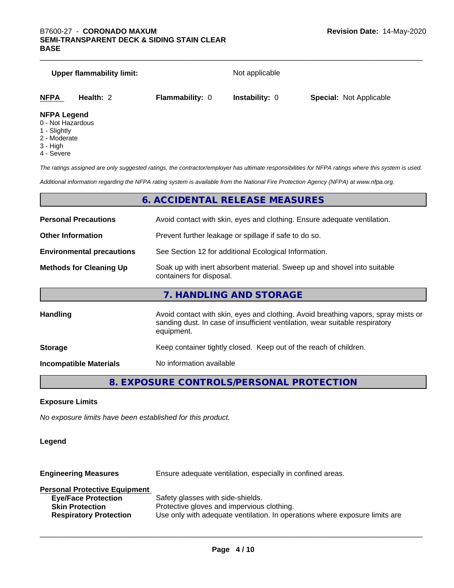|                                         | <b>Upper flammability limit:</b> |                        | Not applicable        |                                |
|-----------------------------------------|----------------------------------|------------------------|-----------------------|--------------------------------|
| <b>NFPA</b>                             | Health: 2                        | <b>Flammability: 0</b> | <b>Instability: 0</b> | <b>Special: Not Applicable</b> |
| <b>NFPA Legend</b><br>0 - Not Hazardous |                                  |                        |                       |                                |

- 
- 1 Slightly
- 2 Moderate
- 3 High
- 4 Severe

*The ratings assigned are only suggested ratings, the contractor/employer has ultimate responsibilities for NFPA ratings where this system is used.*

*Additional information regarding the NFPA rating system is available from the National Fire Protection Agency (NFPA) at www.nfpa.org.*

# **6. ACCIDENTAL RELEASE MEASURES**

| <b>Personal Precautions</b>      | Avoid contact with skin, eyes and clothing. Ensure adequate ventilation.                                                                                                         |
|----------------------------------|----------------------------------------------------------------------------------------------------------------------------------------------------------------------------------|
| <b>Other Information</b>         | Prevent further leakage or spillage if safe to do so.                                                                                                                            |
| <b>Environmental precautions</b> | See Section 12 for additional Ecological Information.                                                                                                                            |
| <b>Methods for Cleaning Up</b>   | Soak up with inert absorbent material. Sweep up and shovel into suitable<br>containers for disposal.                                                                             |
|                                  | 7. HANDLING AND STORAGE                                                                                                                                                          |
| <b>Handling</b>                  | Avoid contact with skin, eyes and clothing. Avoid breathing vapors, spray mists or<br>sanding dust. In case of insufficient ventilation, wear suitable respiratory<br>equipment. |
| <b>Storage</b>                   | Keep container tightly closed. Keep out of the reach of children.                                                                                                                |
| <b>Incompatible Materials</b>    | No information available                                                                                                                                                         |
|                                  |                                                                                                                                                                                  |

**8. EXPOSURE CONTROLS/PERSONAL PROTECTION**

# **Exposure Limits**

*No exposure limits have been established for this product.*

# **Legend**

**Engineering Measures** Ensure adequate ventilation, especially in confined areas. **Personal Protective Equipment Eye/Face Protection** Safety glasses with side-shields. **Skin Protection** Protective gloves and impervious clothing. **Respiratory Protection** Use only with adequate ventilation. In operations where exposure limits are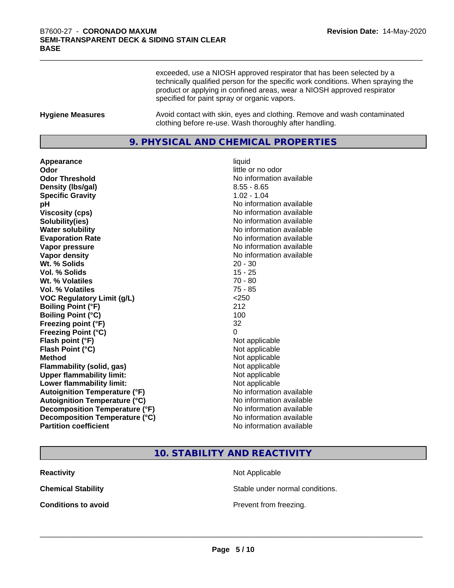exceeded, use a NIOSH approved respirator that has been selected by a technically qualified person for the specific work conditions. When spraying the product or applying in confined areas, wear a NIOSH approved respirator specified for paint spray or organic vapors.

**Hygiene Measures** Avoid contact with skin, eyes and clothing. Remove and wash contaminated clothing before re-use. Wash thoroughly after handling.

### **9. PHYSICAL AND CHEMICAL PROPERTIES**

**Appearance** liquid **Odor** little or no odor **Odor Threshold No information available No information available Density (Ibs/gal)** 8.55 - 8.65<br> **Specific Gravity** 8.55 - 8.65 **Specific Gravity pH pH**  $\blacksquare$ **Viscosity (cps)** No information available **Solubility(ies)** No information available **Water solubility** No information available **Evaporation Rate No information available No information available Vapor pressure** No information available in the No information available **Vapor density No information available No information available Wt.** % Solids 20 - 30 **Vol. % Solids** 15 - 25 **Wt. % Volatiles** 70 - 80 **Vol. % Volatiles** 75 - 85 **VOC Regulatory Limit (g/L)** <250 **Boiling Point (°F)** 212 **Boiling Point (°C)** 100 **Freezing point (°F)** 32 **Freezing Point (°C)** 0 **Flash point (°F)** Not applicable **Flash Point (°C)** Not applicable **Method** Not applicable **Flammability (solid, gas)** Not applicable **Upper flammability limit:** Not applicable **Lower flammability limit:**<br> **Autoignition Temperature (°F)** Not applicable havailable **Autoignition Temperature (°F) Autoignition Temperature (°C)**<br> **Decomposition Temperature (°F)** No information available **Decomposition Temperature (°F) Decomposition Temperature (°C)**<br> **Partition coefficient**<br> **Partition coefficient**<br> **No** information available

**No information available** 

### **10. STABILITY AND REACTIVITY**

| <b>Reactivity</b>         |  |
|---------------------------|--|
| <b>Chemical Stability</b> |  |
| Canditions to outside     |  |

**Not Applicable** Stable under normal conditions.

**Conditions to avoid Prevent from freezing.**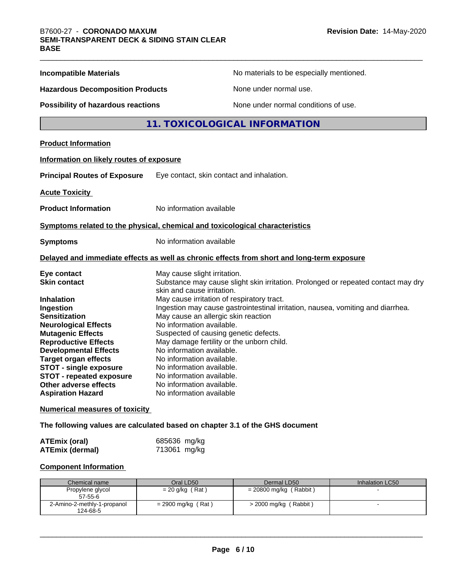**The following values are calculated based on chapter 3.1 of the GHS document**

| <b>ATEmix (oral)</b>   | 685636 mg/kg |
|------------------------|--------------|
| <b>ATEmix (dermal)</b> | 713061 mg/kg |

# **Component Information**

| Chemical name               | Oral LD50            | Dermal LD50              | Inhalation LC50 |
|-----------------------------|----------------------|--------------------------|-----------------|
| Propylene glycol            | $= 20$ g/kg (Rat)    | $= 20800$ mg/kg (Rabbit) |                 |
| $57-55-6$                   |                      |                          |                 |
| 2-Amino-2-methly-1-propanol | $= 2900$ mg/kg (Rat) | > 2000 mg/kg (Rabbit)    |                 |
| 124-68-5                    |                      |                          |                 |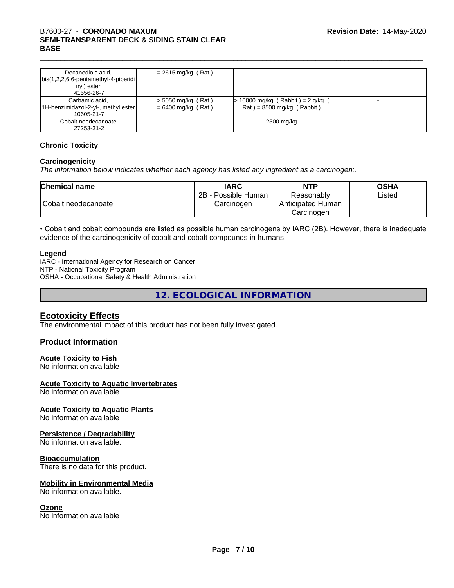# B7600-27 - CORONADO MAXUM<br>SEMI-TRANSPARENT DECK & SIDING STAIN CLEAR<br>BASE **SEMI-TRANSPARENT DECK & SIDING STAIN CLEAR BASE**

| Decanedioic acid,<br>  bis(1,2,2,6,6-pentamethyl-4-piperidi  <br>nyl) ester | $= 2615$ mg/kg (Rat)                         |                                                                    |  |
|-----------------------------------------------------------------------------|----------------------------------------------|--------------------------------------------------------------------|--|
| 41556-26-7                                                                  |                                              |                                                                    |  |
| Carbamic acid,<br>[1H-benzimidazol-2-yl-, methyl ester]<br>10605-21-7       | $>$ 5050 mg/kg (Rat)<br>$= 6400$ mg/kg (Rat) | $> 10000$ mg/kg (Rabbit) = 2 g/kg (<br>$Rat$ = 8500 mg/kg (Rabbit) |  |
| Cobalt neodecanoate<br>27253-31-2                                           |                                              | 2500 mg/kg                                                         |  |

## **Chronic Toxicity**

#### **Carcinogenicity**

*The information below indicateswhether each agency has listed any ingredient as a carcinogen:.*

| <b>Chemical name</b> | <b>IARC</b>                       | <b>NTP</b>                                    | <b>OSHA</b> |
|----------------------|-----------------------------------|-----------------------------------------------|-------------|
| Cobalt neodecanoate  | 2B - Possible Human<br>Carcinogen | Reasonably<br>Anticipated Human<br>Carcinoɑen | Listed      |

• Cobalt and cobalt compounds are listed as possible human carcinogens by IARC (2B). However, there is inadequate evidence of the carcinogenicity of cobalt and cobalt compounds in humans.

#### **Legend**

IARC - International Agency for Research on Cancer NTP - National Toxicity Program OSHA - Occupational Safety & Health Administration

**12. ECOLOGICAL INFORMATION**

# **Ecotoxicity Effects**

The environmental impact of this product has not been fully investigated.

### **Product Information**

#### **Acute Toxicity to Fish**

No information available

#### **Acute Toxicity to Aquatic Invertebrates**

No information available

#### **Acute Toxicity to Aquatic Plants**

No information available

#### **Persistence / Degradability**

No information available.

#### **Bioaccumulation**

There is no data for this product.

#### **Mobility in Environmental Media**

No information available.

#### **Ozone**

No information available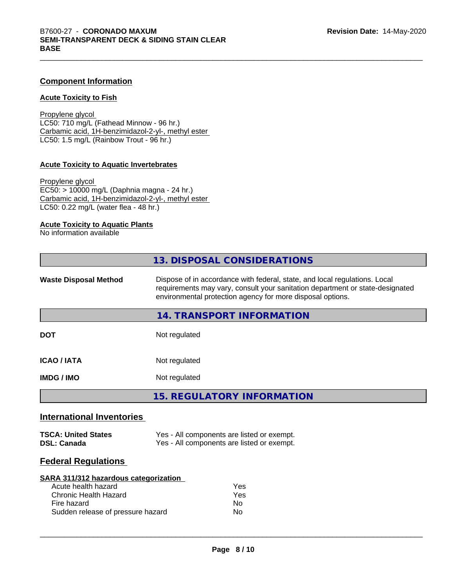### **Component Information**

#### **Acute Toxicity to Fish**

Propylene glycol LC50: 710 mg/L (Fathead Minnow - 96 hr.) Carbamic acid, 1H-benzimidazol-2-yl-, methyl ester LC50: 1.5 mg/L (Rainbow Trout - 96 hr.)

#### **Acute Toxicity to Aquatic Invertebrates**

Propylene glycol EC50: > 10000 mg/L (Daphnia magna - 24 hr.) Carbamic acid, 1H-benzimidazol-2-yl-, methyl ester LC50: 0.22 mg/L (water flea - 48 hr.)

#### **Acute Toxicity to Aquatic Plants**

No information available

|                                                                                              | <b>13. DISPOSAL CONSIDERATIONS</b>                                                                                                                                                                                        |  |  |
|----------------------------------------------------------------------------------------------|---------------------------------------------------------------------------------------------------------------------------------------------------------------------------------------------------------------------------|--|--|
| <b>Waste Disposal Method</b>                                                                 | Dispose of in accordance with federal, state, and local regulations. Local<br>requirements may vary, consult your sanitation department or state-designated<br>environmental protection agency for more disposal options. |  |  |
|                                                                                              | 14. TRANSPORT INFORMATION                                                                                                                                                                                                 |  |  |
| <b>DOT</b>                                                                                   | Not regulated                                                                                                                                                                                                             |  |  |
| <b>ICAO / IATA</b>                                                                           | Not regulated                                                                                                                                                                                                             |  |  |
| <b>IMDG / IMO</b>                                                                            | Not regulated                                                                                                                                                                                                             |  |  |
|                                                                                              | <b>15. REGULATORY INFORMATION</b>                                                                                                                                                                                         |  |  |
| <b>International Inventories</b>                                                             |                                                                                                                                                                                                                           |  |  |
| <b>TSCA: United States</b><br><b>DSL: Canada</b>                                             | Yes - All components are listed or exempt.<br>Yes - All components are listed or exempt.                                                                                                                                  |  |  |
| <b>Federal Regulations</b>                                                                   |                                                                                                                                                                                                                           |  |  |
| <b>SARA 311/312 hazardous categorization</b><br>Acute health hazard<br>Chronic Health Hazard | Yes<br>Yes                                                                                                                                                                                                                |  |  |
| Fire hazard<br>Sudden release of pressure hazard                                             | No.<br>No.                                                                                                                                                                                                                |  |  |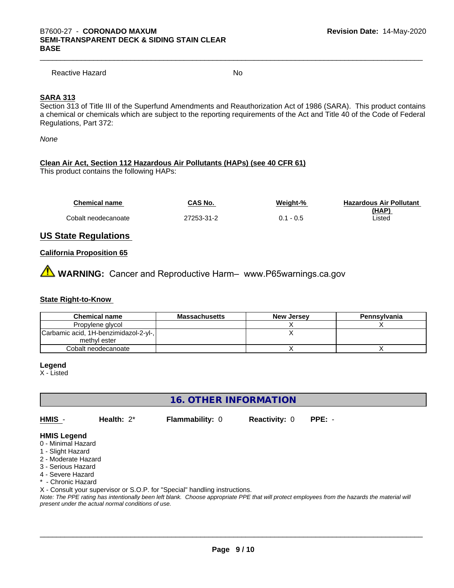Reactive Hazard No

#### **SARA 313**

Section 313 of Title III of the Superfund Amendments and Reauthorization Act of 1986 (SARA). This product contains a chemical or chemicals which are subject to the reporting requirements of the Act and Title 40 of the Code of Federal Regulations, Part 372:

*None*

#### **Clean Air Act,Section 112 Hazardous Air Pollutants (HAPs) (see 40 CFR 61)**

This product contains the following HAPs:

| Chemical name       | CAS No.    | Weight-% | <b>Hazardous Air Pollutant</b> |
|---------------------|------------|----------|--------------------------------|
|                     |            |          | (HAP)                          |
| Cobalt neodecanoate | 27253-31-2 | - 0.5    | Listed                         |

### **US State Regulations**

#### **California Proposition 65**

**WARNING:** Cancer and Reproductive Harm– www.P65warnings.ca.gov

#### **State Right-to-Know**

| <b>Chemical name</b>                  | <b>Massachusetts</b> | <b>New Jersey</b> | Pennsylvania |
|---------------------------------------|----------------------|-------------------|--------------|
| Propylene glycol                      |                      |                   |              |
| Carbamic acid, 1H-benzimidazol-2-yl-, |                      |                   |              |
| methyl ester                          |                      |                   |              |
| Cobalt neodecanoate                   |                      |                   |              |

#### **Legend**

X - Listed

**16. OTHER INFORMATION**

**HMIS** - **Health:** 2\* **Flammability:** 0 **Reactivity:** 0 **PPE:** -

- **HMIS Legend**
- 0 Minimal Hazard
- 1 Slight Hazard
- 2 Moderate Hazard
- 3 Serious Hazard
- 4 Severe Hazard
- \* Chronic Hazard

X - Consult your supervisor or S.O.P. for "Special" handling instructions.

*Note: The PPE rating has intentionally been left blank. Choose appropriate PPE that will protect employees from the hazards the material will present under the actual normal conditions of use.*